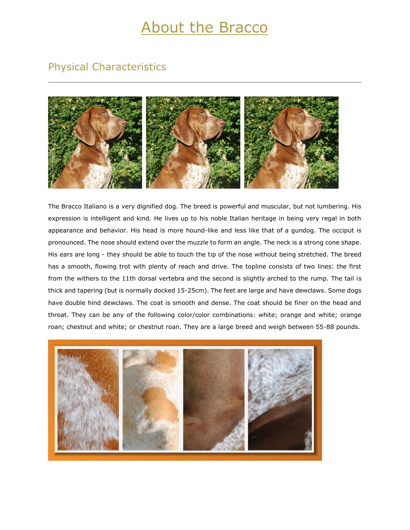## About the Bracco

## Physical Characteristics



The Bracco Italiano is a very dignified dog. The breed is powerful and muscular, but not lumbering. His expression is intelligent and kind. He lives up to his noble Italian heritage in being very regal in both appearance and behavior. His head is more hound-like and less like that of a gundog. The occiput is pronounced. The nose should extend over the muzzle to form an angle. The neck is a strong cone shape. His ears are long - they should be able to touch the tip of the nose without being stretched. The breed has a smooth, flowing trot with plenty of reach and drive. The topline consists of two lines: the first from the withers to the 11th dorsal vertebra and the second is slightly arched to the rump. The tail is thick and tapering (but is normally docked 15-25cm). The feet are large and have dewclaws. Some dogs have double hind dewclaws. The coat is smooth and dense. The coat should be finer on the head and throat. They can be any of the following color/color combinations: white; orange and white; orange roan; chestnut and white; or chestnut roan. They are a large breed and weigh between 55-88 pounds.

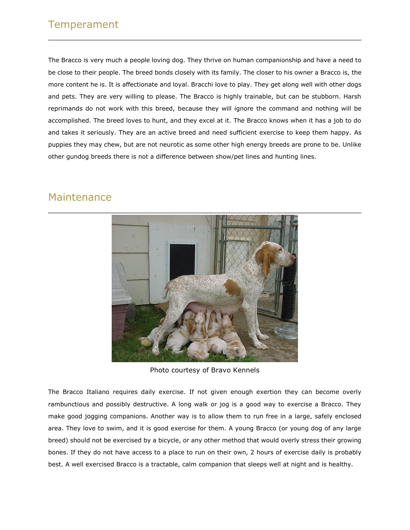## **Temperament**

The Bracco is very much a people loving dog. They thrive on human companionship and have a need to be close to their people. The breed bonds closely with its family. The closer to his owner a Bracco is, the more content he is. It is affectionate and loyal. Bracchi love to play. They get along well with other dogs and pets. They are very willing to please. The Bracco is highly trainable, but can be stubborn. Harsh reprimands do not work with this breed, because they will ignore the command and nothing will be accomplished. The breed loves to hunt, and they excel at it. The Bracco knows when it has a job to do and takes it seriously. They are an active breed and need sufficient exercise to keep them happy. As puppies they may chew, but are not neurotic as some other high energy breeds are prone to be. Unlike other gundog breeds there is not a difference between show/pet lines and hunting lines.

## Maintenance



Photo courtesy of Bravo Kennels

The Bracco Italiano requires daily exercise. If not given enough exertion they can become overly rambunctious and possibly destructive. A long walk or jog is a good way to exercise a Bracco. They make good jogging companions. Another way is to allow them to run free in a large, safely enclosed area. They love to swim, and it is good exercise for them. A young Bracco (or young dog of any large breed) should not be exercised by a bicycle, or any other method that would overly stress their growing bones. If they do not have access to a place to run on their own, 2 hours of exercise daily is probably best. A well exercised Bracco is a tractable, calm companion that sleeps well at night and is healthy.